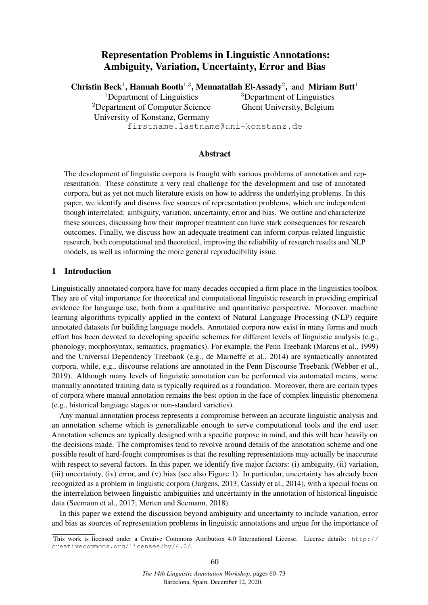# Representation Problems in Linguistic Annotations: Ambiguity, Variation, Uncertainty, Error and Bias

Christin Beck<sup>1</sup>, Hannah Booth<sup>1,3</sup>, Mennatallah El-Assady<sup>2</sup>, and Miriam Butt<sup>1</sup> <sup>1</sup>Department of Linguistics

<sup>2</sup>Department of Computer Science University of Konstanz, Germany

<sup>3</sup>Department of Linguistics Ghent University, Belgium

firstname.lastname@uni-konstanz.de

## Abstract

The development of linguistic corpora is fraught with various problems of annotation and representation. These constitute a very real challenge for the development and use of annotated corpora, but as yet not much literature exists on how to address the underlying problems. In this paper, we identify and discuss five sources of representation problems, which are independent though interrelated: ambiguity, variation, uncertainty, error and bias. We outline and characterize these sources, discussing how their improper treatment can have stark consequences for research outcomes. Finally, we discuss how an adequate treatment can inform corpus-related linguistic research, both computational and theoretical, improving the reliability of research results and NLP models, as well as informing the more general reproducibility issue.

## 1 Introduction

Linguistically annotated corpora have for many decades occupied a firm place in the linguistics toolbox. They are of vital importance for theoretical and computational linguistic research in providing empirical evidence for language use, both from a qualitative and quantitative perspective. Moreover, machine learning algorithms typically applied in the context of Natural Language Processing (NLP) require annotated datasets for building language models. Annotated corpora now exist in many forms and much effort has been devoted to developing specific schemes for different levels of linguistic analysis (e.g., phonology, morphosyntax, semantics, pragmatics). For example, the Penn Treebank (Marcus et al., 1999) and the Universal Dependency Treebank (e.g., de Marneffe et al., 2014) are syntactically annotated corpora, while, e.g., discourse relations are annotated in the Penn Discourse Treebank (Webber et al., 2019). Although many levels of linguistic annotation can be performed via automated means, some manually annotated training data is typically required as a foundation. Moreover, there are certain types of corpora where manual annotation remains the best option in the face of complex linguistic phenomena (e.g., historical language stages or non-standard varieties).

Any manual annotation process represents a compromise between an accurate linguistic analysis and an annotation scheme which is generalizable enough to serve computational tools and the end user. Annotation schemes are typically designed with a specific purpose in mind, and this will bear heavily on the decisions made. The compromises tend to revolve around details of the annotation scheme and one possible result of hard-fought compromises is that the resulting representations may actually be inaccurate with respect to several factors. In this paper, we identify five major factors: (i) ambiguity, (ii) variation, (iii) uncertainty, (iv) error, and (v) bias (see also Figure 1). In particular, uncertainty has already been recognized as a problem in linguistic corpora (Jurgens, 2013; Cassidy et al., 2014), with a special focus on the interrelation between linguistic ambiguities and uncertainty in the annotation of historical linguistic data (Seemann et al., 2017; Merten and Seemann, 2018).

In this paper we extend the discussion beyond ambiguity and uncertainty to include variation, error and bias as sources of representation problems in linguistic annotations and argue for the importance of

This work is licensed under a Creative Commons Attribution 4.0 International License. License details: http:// creativecommons.org/licenses/by/4.0/.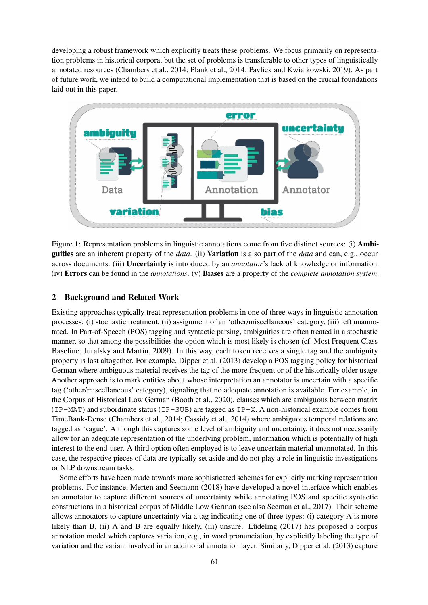developing a robust framework which explicitly treats these problems. We focus primarily on representation problems in historical corpora, but the set of problems is transferable to other types of linguistically annotated resources (Chambers et al., 2014; Plank et al., 2014; Pavlick and Kwiatkowski, 2019). As part of future work, we intend to build a computational implementation that is based on the crucial foundations laid out in this paper.



Figure 1: Representation problems in linguistic annotations come from five distinct sources: (i) Ambiguities are an inherent property of the *data*. (ii) Variation is also part of the *data* and can, e.g., occur across documents. (iii) Uncertainty is introduced by an *annotator*'s lack of knowledge or information. (iv) Errors can be found in the *annotations*. (v) Biases are a property of the *complete annotation system*.

## 2 Background and Related Work

Existing approaches typically treat representation problems in one of three ways in linguistic annotation processes: (i) stochastic treatment, (ii) assignment of an 'other/miscellaneous' category, (iii) left unannotated. In Part-of-Speech (POS) tagging and syntactic parsing, ambiguities are often treated in a stochastic manner, so that among the possibilities the option which is most likely is chosen (cf. Most Frequent Class Baseline; Jurafsky and Martin, 2009). In this way, each token receives a single tag and the ambiguity property is lost altogether. For example, Dipper et al. (2013) develop a POS tagging policy for historical German where ambiguous material receives the tag of the more frequent or of the historically older usage. Another approach is to mark entities about whose interpretation an annotator is uncertain with a specific tag ('other/miscellaneous' category), signaling that no adequate annotation is available. For example, in the Corpus of Historical Low German (Booth et al., 2020), clauses which are ambiguous between matrix (IP-MAT) and subordinate status (IP-SUB) are tagged as IP-X. A non-historical example comes from TimeBank-Dense (Chambers et al., 2014; Cassidy et al., 2014) where ambiguous temporal relations are tagged as 'vague'. Although this captures some level of ambiguity and uncertainty, it does not necessarily allow for an adequate representation of the underlying problem, information which is potentially of high interest to the end-user. A third option often employed is to leave uncertain material unannotated. In this case, the respective pieces of data are typically set aside and do not play a role in linguistic investigations or NLP downstream tasks.

Some efforts have been made towards more sophisticated schemes for explicitly marking representation problems. For instance, Merten and Seemann (2018) have developed a novel interface which enables an annotator to capture different sources of uncertainty while annotating POS and specific syntactic constructions in a historical corpus of Middle Low German (see also Seeman et al., 2017). Their scheme allows annotators to capture uncertainty via a tag indicating one of three types: (i) category A is more likely than B,  $(ii)$  A and B are equally likely,  $(iii)$  unsure. Lüdeling  $(2017)$  has proposed a corpus annotation model which captures variation, e.g., in word pronunciation, by explicitly labeling the type of variation and the variant involved in an additional annotation layer. Similarly, Dipper et al. (2013) capture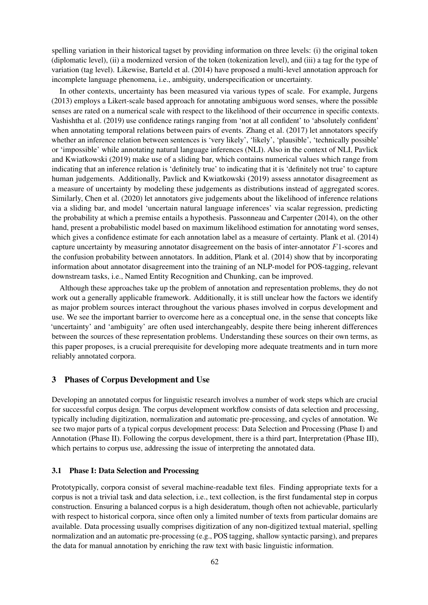spelling variation in their historical tagset by providing information on three levels: (i) the original token (diplomatic level), (ii) a modernized version of the token (tokenization level), and (iii) a tag for the type of variation (tag level). Likewise, Barteld et al. (2014) have proposed a multi-level annotation approach for incomplete language phenomena, i.e., ambiguity, underspecification or uncertainty.

In other contexts, uncertainty has been measured via various types of scale. For example, Jurgens (2013) employs a Likert-scale based approach for annotating ambiguous word senses, where the possible senses are rated on a numerical scale with respect to the likelihood of their occurrence in specific contexts. Vashishtha et al. (2019) use confidence ratings ranging from 'not at all confident' to 'absolutely confident' when annotating temporal relations between pairs of events. Zhang et al. (2017) let annotators specify whether an inference relation between sentences is 'very likely', 'likely', 'plausible', 'technically possible' or 'impossible' while annotating natural language inferences (NLI). Also in the context of NLI, Pavlick and Kwiatkowski (2019) make use of a sliding bar, which contains numerical values which range from indicating that an inference relation is 'definitely true' to indicating that it is 'definitely not true' to capture human judgements. Additionally, Pavlick and Kwiatkowski (2019) assess annotator disagreement as a measure of uncertainty by modeling these judgements as distributions instead of aggregated scores. Similarly, Chen et al. (2020) let annotators give judgements about the likelihood of inference relations via a sliding bar, and model 'uncertain natural language inferences' via scalar regression, predicting the probability at which a premise entails a hypothesis. Passonneau and Carpenter (2014), on the other hand, present a probabilistic model based on maximum likelihood estimation for annotating word senses, which gives a confidence estimate for each annotation label as a measure of certainty. Plank et al. (2014) capture uncertainty by measuring annotator disagreement on the basis of inter-annotator F1-scores and the confusion probability between annotators. In addition, Plank et al. (2014) show that by incorporating information about annotator disagreement into the training of an NLP-model for POS-tagging, relevant downstream tasks, i.e., Named Entity Recognition and Chunking, can be improved.

Although these approaches take up the problem of annotation and representation problems, they do not work out a generally applicable framework. Additionally, it is still unclear how the factors we identify as major problem sources interact throughout the various phases involved in corpus development and use. We see the important barrier to overcome here as a conceptual one, in the sense that concepts like 'uncertainty' and 'ambiguity' are often used interchangeably, despite there being inherent differences between the sources of these representation problems. Understanding these sources on their own terms, as this paper proposes, is a crucial prerequisite for developing more adequate treatments and in turn more reliably annotated corpora.

## 3 Phases of Corpus Development and Use

Developing an annotated corpus for linguistic research involves a number of work steps which are crucial for successful corpus design. The corpus development workflow consists of data selection and processing, typically including digitization, normalization and automatic pre-processing, and cycles of annotation. We see two major parts of a typical corpus development process: Data Selection and Processing (Phase I) and Annotation (Phase II). Following the corpus development, there is a third part, Interpretation (Phase III), which pertains to corpus use, addressing the issue of interpreting the annotated data.

### 3.1 Phase I: Data Selection and Processing

Prototypically, corpora consist of several machine-readable text files. Finding appropriate texts for a corpus is not a trivial task and data selection, i.e., text collection, is the first fundamental step in corpus construction. Ensuring a balanced corpus is a high desideratum, though often not achievable, particularly with respect to historical corpora, since often only a limited number of texts from particular domains are available. Data processing usually comprises digitization of any non-digitized textual material, spelling normalization and an automatic pre-processing (e.g., POS tagging, shallow syntactic parsing), and prepares the data for manual annotation by enriching the raw text with basic linguistic information.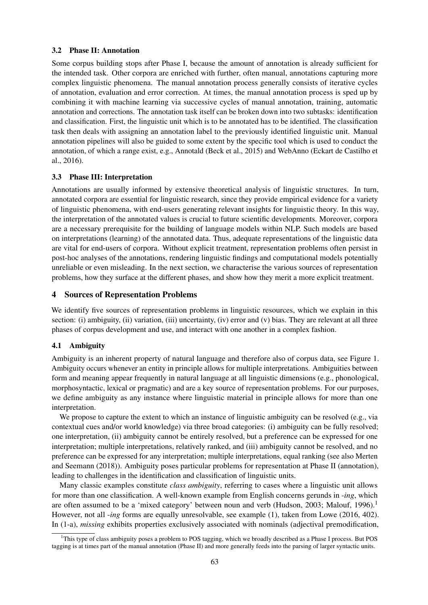### 3.2 Phase II: Annotation

Some corpus building stops after Phase I, because the amount of annotation is already sufficient for the intended task. Other corpora are enriched with further, often manual, annotations capturing more complex linguistic phenomena. The manual annotation process generally consists of iterative cycles of annotation, evaluation and error correction. At times, the manual annotation process is sped up by combining it with machine learning via successive cycles of manual annotation, training, automatic annotation and corrections. The annotation task itself can be broken down into two subtasks: identification and classification. First, the linguistic unit which is to be annotated has to be identified. The classification task then deals with assigning an annotation label to the previously identified linguistic unit. Manual annotation pipelines will also be guided to some extent by the specific tool which is used to conduct the annotation, of which a range exist, e.g., Annotald (Beck et al., 2015) and WebAnno (Eckart de Castilho et al., 2016).

## 3.3 Phase III: Interpretation

Annotations are usually informed by extensive theoretical analysis of linguistic structures. In turn, annotated corpora are essential for linguistic research, since they provide empirical evidence for a variety of linguistic phenomena, with end-users generating relevant insights for linguistic theory. In this way, the interpretation of the annotated values is crucial to future scientific developments. Moreover, corpora are a necessary prerequisite for the building of language models within NLP. Such models are based on interpretations (learning) of the annotated data. Thus, adequate representations of the linguistic data are vital for end-users of corpora. Without explicit treatment, representation problems often persist in post-hoc analyses of the annotations, rendering linguistic findings and computational models potentially unreliable or even misleading. In the next section, we characterise the various sources of representation problems, how they surface at the different phases, and show how they merit a more explicit treatment.

## 4 Sources of Representation Problems

We identify five sources of representation problems in linguistic resources, which we explain in this section: (i) ambiguity, (ii) variation, (iii) uncertainty, (iv) error and (v) bias. They are relevant at all three phases of corpus development and use, and interact with one another in a complex fashion.

### 4.1 Ambiguity

Ambiguity is an inherent property of natural language and therefore also of corpus data, see Figure 1. Ambiguity occurs whenever an entity in principle allows for multiple interpretations. Ambiguities between form and meaning appear frequently in natural language at all linguistic dimensions (e.g., phonological, morphosyntactic, lexical or pragmatic) and are a key source of representation problems. For our purposes, we define ambiguity as any instance where linguistic material in principle allows for more than one interpretation.

We propose to capture the extent to which an instance of linguistic ambiguity can be resolved (e.g., via contextual cues and/or world knowledge) via three broad categories: (i) ambiguity can be fully resolved; one interpretation, (ii) ambiguity cannot be entirely resolved, but a preference can be expressed for one interpretation; multiple interpretations, relatively ranked, and (iii) ambiguity cannot be resolved, and no preference can be expressed for any interpretation; multiple interpretations, equal ranking (see also Merten and Seemann (2018)). Ambiguity poses particular problems for representation at Phase II (annotation), leading to challenges in the identification and classification of linguistic units.

Many classic examples constitute *class ambiguity*, referring to cases where a linguistic unit allows for more than one classification. A well-known example from English concerns gerunds in -*ing*, which are often assumed to be a 'mixed category' between noun and verb (Hudson, 2003; Malouf, 1996).<sup>1</sup> However, not all -*ing* forms are equally unresolvable, see example (1), taken from Lowe (2016, 402). In (1-a), *missing* exhibits properties exclusively associated with nominals (adjectival premodification,

<sup>&</sup>lt;sup>1</sup>This type of class ambiguity poses a problem to POS tagging, which we broadly described as a Phase I process. But POS tagging is at times part of the manual annotation (Phase II) and more generally feeds into the parsing of larger syntactic units.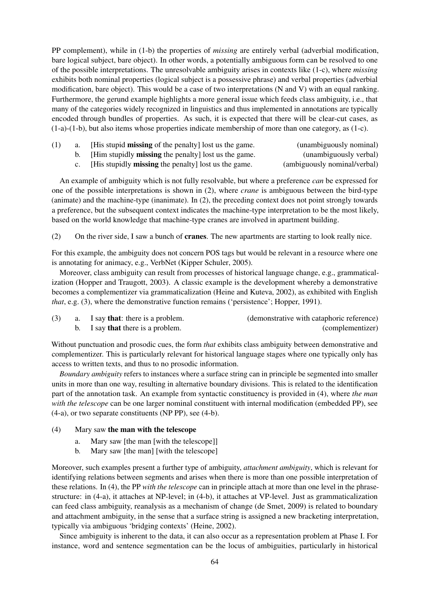PP complement), while in (1-b) the properties of *missing* are entirely verbal (adverbial modification, bare logical subject, bare object). In other words, a potentially ambiguous form can be resolved to one of the possible interpretations. The unresolvable ambiguity arises in contexts like (1-c), where *missing* exhibits both nominal properties (logical subject is a possessive phrase) and verbal properties (adverbial modification, bare object). This would be a case of two interpretations (N and V) with an equal ranking. Furthermore, the gerund example highlights a more general issue which feeds class ambiguity, i.e., that many of the categories widely recognized in linguistics and thus implemented in annotations are typically encoded through bundles of properties. As such, it is expected that there will be clear-cut cases, as (1-a)-(1-b), but also items whose properties indicate membership of more than one category, as (1-c).

| a. | [His stupid <b>missing</b> of the penalty] lost us the game.   | (unambiguously nominal)      |
|----|----------------------------------------------------------------|------------------------------|
|    | b. [Him stupidly <b>missing</b> the penalty] lost us the game. | (unambiguously verbal)       |
|    | c. [His stupidly <b>missing</b> the penalty] lost us the game. | (ambiguously nominal/verbal) |

An example of ambiguity which is not fully resolvable, but where a preference *can* be expressed for one of the possible interpretations is shown in (2), where *crane* is ambiguous between the bird-type (animate) and the machine-type (inanimate). In (2), the preceding context does not point strongly towards a preference, but the subsequent context indicates the machine-type interpretation to be the most likely, based on the world knowledge that machine-type cranes are involved in apartment building.

(2) On the river side, I saw a bunch of cranes. The new apartments are starting to look really nice.

For this example, the ambiguity does not concern POS tags but would be relevant in a resource where one is annotating for animacy, e.g., VerbNet (Kipper Schuler, 2005).

Moreover, class ambiguity can result from processes of historical language change, e.g., grammaticalization (Hopper and Traugott, 2003). A classic example is the development whereby a demonstrative becomes a complementizer via grammaticalization (Heine and Kuteva, 2002), as exhibited with English *that*, e.g. (3), where the demonstrative function remains ('persistence'; Hopper, 1991).

|  | a. I say <b>that</b> : there is a problem. | (demonstrative with cataphoric reference) |
|--|--------------------------------------------|-------------------------------------------|
|  | b. I say <b>that</b> there is a problem.   | (complementizer)                          |

Without punctuation and prosodic cues, the form *that* exhibits class ambiguity between demonstrative and complementizer. This is particularly relevant for historical language stages where one typically only has access to written texts, and thus to no prosodic information.

*Boundary ambiguity* refers to instances where a surface string can in principle be segmented into smaller units in more than one way, resulting in alternative boundary divisions. This is related to the identification part of the annotation task. An example from syntactic constituency is provided in (4), where *the man with the telescope* can be one larger nominal constituent with internal modification (embedded PP), see (4-a), or two separate constituents (NP PP), see (4-b).

## (4) Mary saw the man with the telescope

- a. Mary saw [the man [with the telescope]]
- b. Mary saw [the man] [with the telescope]

Moreover, such examples present a further type of ambiguity, *attachment ambiguity*, which is relevant for identifying relations between segments and arises when there is more than one possible interpretation of these relations. In (4), the PP *with the telescope* can in principle attach at more than one level in the phrasestructure: in (4-a), it attaches at NP-level; in (4-b), it attaches at VP-level. Just as grammaticalization can feed class ambiguity, reanalysis as a mechanism of change (de Smet, 2009) is related to boundary and attachment ambiguity, in the sense that a surface string is assigned a new bracketing interpretation, typically via ambiguous 'bridging contexts' (Heine, 2002).

Since ambiguity is inherent to the data, it can also occur as a representation problem at Phase I. For instance, word and sentence segmentation can be the locus of ambiguities, particularly in historical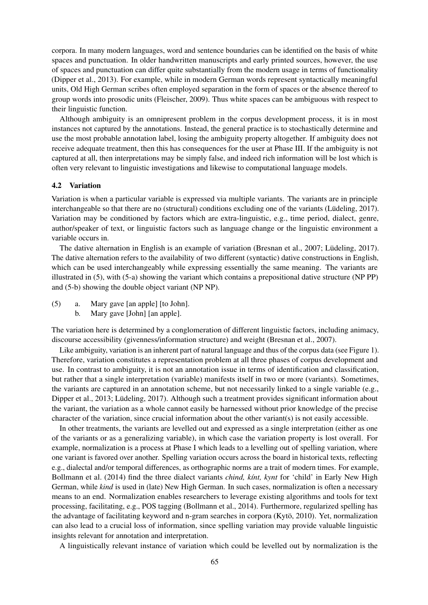corpora. In many modern languages, word and sentence boundaries can be identified on the basis of white spaces and punctuation. In older handwritten manuscripts and early printed sources, however, the use of spaces and punctuation can differ quite substantially from the modern usage in terms of functionality (Dipper et al., 2013). For example, while in modern German words represent syntactically meaningful units, Old High German scribes often employed separation in the form of spaces or the absence thereof to group words into prosodic units (Fleischer, 2009). Thus white spaces can be ambiguous with respect to their linguistic function.

Although ambiguity is an omnipresent problem in the corpus development process, it is in most instances not captured by the annotations. Instead, the general practice is to stochastically determine and use the most probable annotation label, losing the ambiguity property altogether. If ambiguity does not receive adequate treatment, then this has consequences for the user at Phase III. If the ambiguity is not captured at all, then interpretations may be simply false, and indeed rich information will be lost which is often very relevant to linguistic investigations and likewise to computational language models.

### 4.2 Variation

Variation is when a particular variable is expressed via multiple variants. The variants are in principle interchangeable so that there are no (structural) conditions excluding one of the variants (Lüdeling, 2017). Variation may be conditioned by factors which are extra-linguistic, e.g., time period, dialect, genre, author/speaker of text, or linguistic factors such as language change or the linguistic environment a variable occurs in.

The dative alternation in English is an example of variation (Bresnan et al., 2007; Lüdeling, 2017). The dative alternation refers to the availability of two different (syntactic) dative constructions in English, which can be used interchangeably while expressing essentially the same meaning. The variants are illustrated in (5), with (5-a) showing the variant which contains a prepositional dative structure (NP PP) and (5-b) showing the double object variant (NP NP).

- (5) a. Mary gave [an apple] [to John].
	- b. Mary gave [John] [an apple].

The variation here is determined by a conglomeration of different linguistic factors, including animacy, discourse accessibility (givenness/information structure) and weight (Bresnan et al., 2007).

Like ambiguity, variation is an inherent part of natural language and thus of the corpus data (see Figure 1). Therefore, variation constitutes a representation problem at all three phases of corpus development and use. In contrast to ambiguity, it is not an annotation issue in terms of identification and classification, but rather that a single interpretation (variable) manifests itself in two or more (variants). Sometimes, the variants are captured in an annotation scheme, but not necessarily linked to a single variable (e.g., Dipper et al., 2013; Lüdeling, 2017). Although such a treatment provides significant information about the variant, the variation as a whole cannot easily be harnessed without prior knowledge of the precise character of the variation, since crucial information about the other variant(s) is not easily accessible.

In other treatments, the variants are levelled out and expressed as a single interpretation (either as one of the variants or as a generalizing variable), in which case the variation property is lost overall. For example, normalization is a process at Phase I which leads to a levelling out of spelling variation, where one variant is favored over another. Spelling variation occurs across the board in historical texts, reflecting e.g., dialectal and/or temporal differences, as orthographic norms are a trait of modern times. For example, Bollmann et al. (2014) find the three dialect variants *chind, k´ınt, kynt* for 'child' in Early New High German, while *kind* is used in (late) New High German. In such cases, normalization is often a necessary means to an end. Normalization enables researchers to leverage existing algorithms and tools for text processing, facilitating, e.g., POS tagging (Bollmann et al., 2014). Furthermore, regularized spelling has the advantage of facilitating keyword and n-gram searches in corpora (Kyto, 2010). Yet, normalization ¨ can also lead to a crucial loss of information, since spelling variation may provide valuable linguistic insights relevant for annotation and interpretation.

A linguistically relevant instance of variation which could be levelled out by normalization is the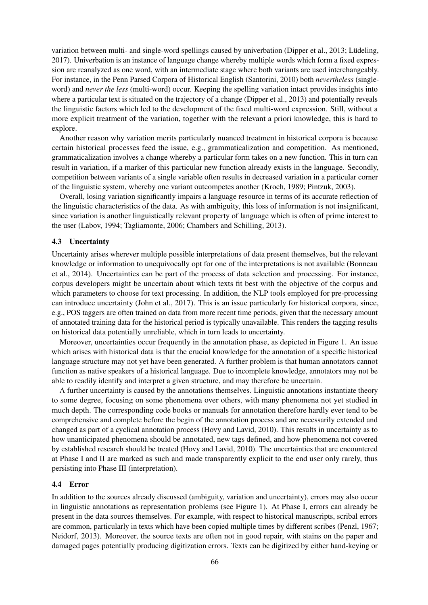variation between multi- and single-word spellings caused by univerbation (Dipper et al., 2013; Lüdeling, 2017). Univerbation is an instance of language change whereby multiple words which form a fixed expression are reanalyzed as one word, with an intermediate stage where both variants are used interchangeably. For instance, in the Penn Parsed Corpora of Historical English (Santorini, 2010) both *nevertheless* (singleword) and *never the less* (multi-word) occur. Keeping the spelling variation intact provides insights into where a particular text is situated on the trajectory of a change (Dipper et al., 2013) and potentially reveals the linguistic factors which led to the development of the fixed multi-word expression. Still, without a more explicit treatment of the variation, together with the relevant a priori knowledge, this is hard to explore.

Another reason why variation merits particularly nuanced treatment in historical corpora is because certain historical processes feed the issue, e.g., grammaticalization and competition. As mentioned, grammaticalization involves a change whereby a particular form takes on a new function. This in turn can result in variation, if a marker of this particular new function already exists in the language. Secondly, competition between variants of a single variable often results in decreased variation in a particular corner of the linguistic system, whereby one variant outcompetes another (Kroch, 1989; Pintzuk, 2003).

Overall, losing variation significantly impairs a language resource in terms of its accurate reflection of the linguistic characteristics of the data. As with ambiguity, this loss of information is not insignificant, since variation is another linguistically relevant property of language which is often of prime interest to the user (Labov, 1994; Tagliamonte, 2006; Chambers and Schilling, 2013).

### 4.3 Uncertainty

Uncertainty arises wherever multiple possible interpretations of data present themselves, but the relevant knowledge or information to unequivocally opt for one of the interpretations is not available (Bonneau et al., 2014). Uncertainties can be part of the process of data selection and processing. For instance, corpus developers might be uncertain about which texts fit best with the objective of the corpus and which parameters to choose for text processing. In addition, the NLP tools employed for pre-processing can introduce uncertainty (John et al., 2017). This is an issue particularly for historical corpora, since, e.g., POS taggers are often trained on data from more recent time periods, given that the necessary amount of annotated training data for the historical period is typically unavailable. This renders the tagging results on historical data potentially unreliable, which in turn leads to uncertainty.

Moreover, uncertainties occur frequently in the annotation phase, as depicted in Figure 1. An issue which arises with historical data is that the crucial knowledge for the annotation of a specific historical language structure may not yet have been generated. A further problem is that human annotators cannot function as native speakers of a historical language. Due to incomplete knowledge, annotators may not be able to readily identify and interpret a given structure, and may therefore be uncertain.

A further uncertainty is caused by the annotations themselves. Linguistic annotations instantiate theory to some degree, focusing on some phenomena over others, with many phenomena not yet studied in much depth. The corresponding code books or manuals for annotation therefore hardly ever tend to be comprehensive and complete before the begin of the annotation process and are necessarily extended and changed as part of a cyclical annotation process (Hovy and Lavid, 2010). This results in uncertainty as to how unanticipated phenomena should be annotated, new tags defined, and how phenomena not covered by established research should be treated (Hovy and Lavid, 2010). The uncertainties that are encountered at Phase I and II are marked as such and made transparently explicit to the end user only rarely, thus persisting into Phase III (interpretation).

#### 4.4 Error

In addition to the sources already discussed (ambiguity, variation and uncertainty), errors may also occur in linguistic annotations as representation problems (see Figure 1). At Phase I, errors can already be present in the data sources themselves. For example, with respect to historical manuscripts, scribal errors are common, particularly in texts which have been copied multiple times by different scribes (Penzl, 1967; Neidorf, 2013). Moreover, the source texts are often not in good repair, with stains on the paper and damaged pages potentially producing digitization errors. Texts can be digitized by either hand-keying or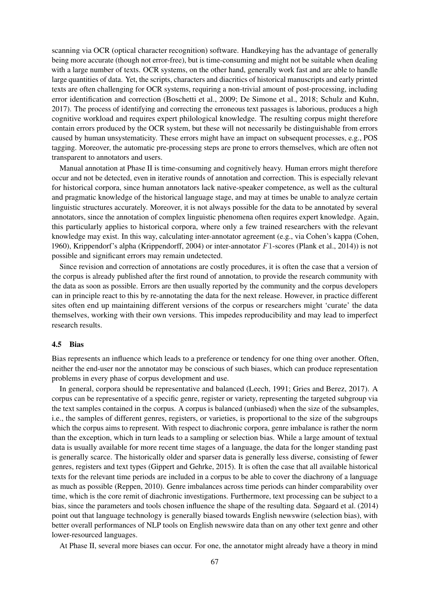scanning via OCR (optical character recognition) software. Handkeying has the advantage of generally being more accurate (though not error-free), but is time-consuming and might not be suitable when dealing with a large number of texts. OCR systems, on the other hand, generally work fast and are able to handle large quantities of data. Yet, the scripts, characters and diacritics of historical manuscripts and early printed texts are often challenging for OCR systems, requiring a non-trivial amount of post-processing, including error identification and correction (Boschetti et al., 2009; De Simone et al., 2018; Schulz and Kuhn, 2017). The process of identifying and correcting the erroneous text passages is laborious, produces a high cognitive workload and requires expert philological knowledge. The resulting corpus might therefore contain errors produced by the OCR system, but these will not necessarily be distinguishable from errors caused by human unsystematicity. These errors might have an impact on subsequent processes, e.g., POS tagging. Moreover, the automatic pre-processing steps are prone to errors themselves, which are often not transparent to annotators and users.

Manual annotation at Phase II is time-consuming and cognitively heavy. Human errors might therefore occur and not be detected, even in iterative rounds of annotation and correction. This is especially relevant for historical corpora, since human annotators lack native-speaker competence, as well as the cultural and pragmatic knowledge of the historical language stage, and may at times be unable to analyze certain linguistic structures accurately. Moreover, it is not always possible for the data to be annotated by several annotators, since the annotation of complex linguistic phenomena often requires expert knowledge. Again, this particularly applies to historical corpora, where only a few trained researchers with the relevant knowledge may exist. In this way, calculating inter-annotator agreement (e.g., via Cohen's kappa (Cohen, 1960), Krippendorf's alpha (Krippendorff, 2004) or inter-annotator F1-scores (Plank et al., 2014)) is not possible and significant errors may remain undetected.

Since revision and correction of annotations are costly procedures, it is often the case that a version of the corpus is already published after the first round of annotation, to provide the research community with the data as soon as possible. Errors are then usually reported by the community and the corpus developers can in principle react to this by re-annotating the data for the next release. However, in practice different sites often end up maintaining different versions of the corpus or researchers might 'curate' the data themselves, working with their own versions. This impedes reproducibility and may lead to imperfect research results.

#### 4.5 Bias

Bias represents an influence which leads to a preference or tendency for one thing over another. Often, neither the end-user nor the annotator may be conscious of such biases, which can produce representation problems in every phase of corpus development and use.

In general, corpora should be representative and balanced (Leech, 1991; Gries and Berez, 2017). A corpus can be representative of a specific genre, register or variety, representing the targeted subgroup via the text samples contained in the corpus. A corpus is balanced (unbiased) when the size of the subsamples, i.e., the samples of different genres, registers, or varieties, is proportional to the size of the subgroups which the corpus aims to represent. With respect to diachronic corpora, genre imbalance is rather the norm than the exception, which in turn leads to a sampling or selection bias. While a large amount of textual data is usually available for more recent time stages of a language, the data for the longer standing past is generally scarce. The historically older and sparser data is generally less diverse, consisting of fewer genres, registers and text types (Gippert and Gehrke, 2015). It is often the case that all available historical texts for the relevant time periods are included in a corpus to be able to cover the diachrony of a language as much as possible (Reppen, 2010). Genre imbalances across time periods can hinder comparability over time, which is the core remit of diachronic investigations. Furthermore, text processing can be subject to a bias, since the parameters and tools chosen influence the shape of the resulting data. Søgaard et al. (2014) point out that language technology is generally biased towards English newswire (selection bias), with better overall performances of NLP tools on English newswire data than on any other text genre and other lower-resourced languages.

At Phase II, several more biases can occur. For one, the annotator might already have a theory in mind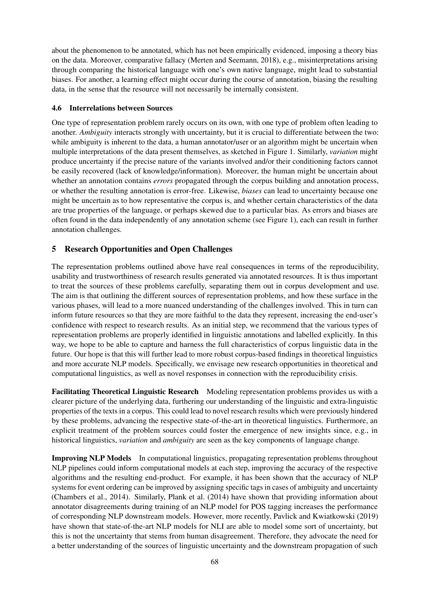about the phenomenon to be annotated, which has not been empirically evidenced, imposing a theory bias on the data. Moreover, comparative fallacy (Merten and Seemann, 2018), e.g., misinterpretations arising through comparing the historical language with one's own native language, might lead to substantial biases. For another, a learning effect might occur during the course of annotation, biasing the resulting data, in the sense that the resource will not necessarily be internally consistent.

## 4.6 Interrelations between Sources

One type of representation problem rarely occurs on its own, with one type of problem often leading to another. *Ambiguity* interacts strongly with uncertainty, but it is crucial to differentiate between the two: while ambiguity is inherent to the data, a human annotator/user or an algorithm might be uncertain when multiple interpretations of the data present themselves, as sketched in Figure 1. Similarly, *variation* might produce uncertainty if the precise nature of the variants involved and/or their conditioning factors cannot be easily recovered (lack of knowledge/information). Moreover, the human might be uncertain about whether an annotation contains *errors* propagated through the corpus building and annotation process, or whether the resulting annotation is error-free. Likewise, *biases* can lead to uncertainty because one might be uncertain as to how representative the corpus is, and whether certain characteristics of the data are true properties of the language, or perhaps skewed due to a particular bias. As errors and biases are often found in the data independently of any annotation scheme (see Figure 1), each can result in further annotation challenges.

## 5 Research Opportunities and Open Challenges

The representation problems outlined above have real consequences in terms of the reproducibility, usability and trustworthiness of research results generated via annotated resources. It is thus important to treat the sources of these problems carefully, separating them out in corpus development and use. The aim is that outlining the different sources of representation problems, and how these surface in the various phases, will lead to a more nuanced understanding of the challenges involved. This in turn can inform future resources so that they are more faithful to the data they represent, increasing the end-user's confidence with respect to research results. As an initial step, we recommend that the various types of representation problems are properly identified in linguistic annotations and labelled explicitly. In this way, we hope to be able to capture and harness the full characteristics of corpus linguistic data in the future. Our hope is that this will further lead to more robust corpus-based findings in theoretical linguistics and more accurate NLP models. Specifically, we envisage new research opportunities in theoretical and computational linguistics, as well as novel responses in connection with the reproducibility crisis.

Facilitating Theoretical Linguistic Research Modeling representation problems provides us with a clearer picture of the underlying data, furthering our understanding of the linguistic and extra-linguistic properties of the texts in a corpus. This could lead to novel research results which were previously hindered by these problems, advancing the respective state-of-the-art in theoretical linguistics. Furthermore, an explicit treatment of the problem sources could foster the emergence of new insights since, e.g., in historical linguistics, *variation* and *ambiguity* are seen as the key components of language change.

Improving NLP Models In computational linguistics, propagating representation problems throughout NLP pipelines could inform computational models at each step, improving the accuracy of the respective algorithms and the resulting end-product. For example, it has been shown that the accuracy of NLP systems for event ordering can be improved by assigning specific tags in cases of ambiguity and uncertainty (Chambers et al., 2014). Similarly, Plank et al. (2014) have shown that providing information about annotator disagreements during training of an NLP model for POS tagging increases the performance of corresponding NLP downstream models. However, more recently, Pavlick and Kwiatkowski (2019) have shown that state-of-the-art NLP models for NLI are able to model some sort of uncertainty, but this is not the uncertainty that stems from human disagreement. Therefore, they advocate the need for a better understanding of the sources of linguistic uncertainty and the downstream propagation of such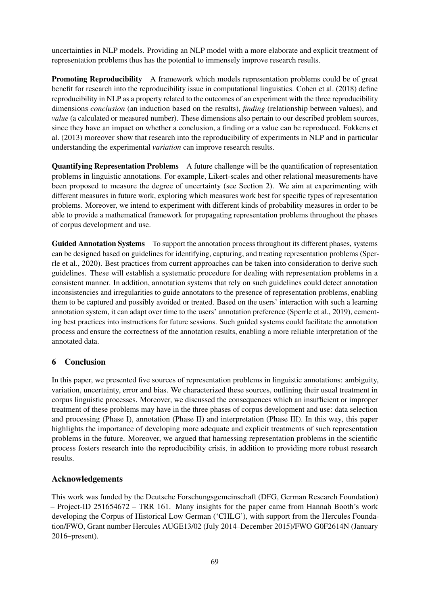uncertainties in NLP models. Providing an NLP model with a more elaborate and explicit treatment of representation problems thus has the potential to immensely improve research results.

Promoting Reproducibility A framework which models representation problems could be of great benefit for research into the reproducibility issue in computational linguistics. Cohen et al. (2018) define reproducibility in NLP as a property related to the outcomes of an experiment with the three reproducibility dimensions *conclusion* (an induction based on the results), *finding* (relationship between values), and *value* (a calculated or measured number). These dimensions also pertain to our described problem sources, since they have an impact on whether a conclusion, a finding or a value can be reproduced. Fokkens et al. (2013) moreover show that research into the reproducibility of experiments in NLP and in particular understanding the experimental *variation* can improve research results.

Quantifying Representation Problems A future challenge will be the quantification of representation problems in linguistic annotations. For example, Likert-scales and other relational measurements have been proposed to measure the degree of uncertainty (see Section 2). We aim at experimenting with different measures in future work, exploring which measures work best for specific types of representation problems. Moreover, we intend to experiment with different kinds of probability measures in order to be able to provide a mathematical framework for propagating representation problems throughout the phases of corpus development and use.

Guided Annotation Systems To support the annotation process throughout its different phases, systems can be designed based on guidelines for identifying, capturing, and treating representation problems (Sperrle et al., 2020). Best practices from current approaches can be taken into consideration to derive such guidelines. These will establish a systematic procedure for dealing with representation problems in a consistent manner. In addition, annotation systems that rely on such guidelines could detect annotation inconsistencies and irregularities to guide annotators to the presence of representation problems, enabling them to be captured and possibly avoided or treated. Based on the users' interaction with such a learning annotation system, it can adapt over time to the users' annotation preference (Sperrle et al., 2019), cementing best practices into instructions for future sessions. Such guided systems could facilitate the annotation process and ensure the correctness of the annotation results, enabling a more reliable interpretation of the annotated data.

## 6 Conclusion

In this paper, we presented five sources of representation problems in linguistic annotations: ambiguity, variation, uncertainty, error and bias. We characterized these sources, outlining their usual treatment in corpus linguistic processes. Moreover, we discussed the consequences which an insufficient or improper treatment of these problems may have in the three phases of corpus development and use: data selection and processing (Phase I), annotation (Phase II) and interpretation (Phase III). In this way, this paper highlights the importance of developing more adequate and explicit treatments of such representation problems in the future. Moreover, we argued that harnessing representation problems in the scientific process fosters research into the reproducibility crisis, in addition to providing more robust research results.

## Acknowledgements

This work was funded by the Deutsche Forschungsgemeinschaft (DFG, German Research Foundation) – Project-ID 251654672 – TRR 161. Many insights for the paper came from Hannah Booth's work developing the Corpus of Historical Low German ('CHLG'), with support from the Hercules Foundation/FWO, Grant number Hercules AUGE13/02 (July 2014–December 2015)/FWO G0F2614N (January 2016–present).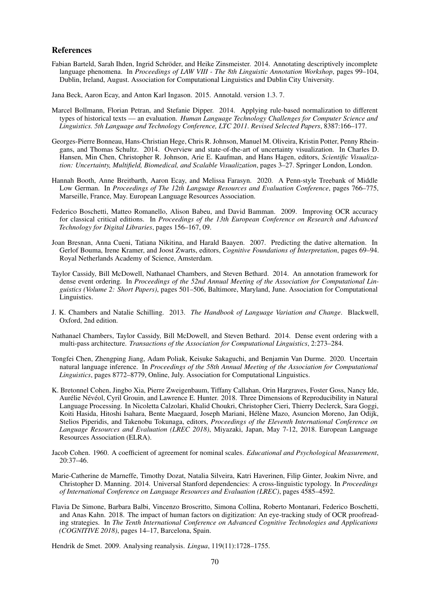#### References

- Fabian Barteld, Sarah Ihden, Ingrid Schröder, and Heike Zinsmeister. 2014. Annotating descriptively incomplete language phenomena. In *Proceedings of LAW VIII - The 8th Linguistic Annotation Workshop*, pages 99–104, Dublin, Ireland, August. Association for Computational Linguistics and Dublin City University.
- Jana Beck, Aaron Ecay, and Anton Karl Ingason. 2015. Annotald. version 1.3. 7.
- Marcel Bollmann, Florian Petran, and Stefanie Dipper. 2014. Applying rule-based normalization to different types of historical texts — an evaluation. *Human Language Technology Challenges for Computer Science and Linguistics. 5th Language and Technology Conference, LTC 2011. Revised Selected Papers*, 8387:166–177.
- Georges-Pierre Bonneau, Hans-Christian Hege, Chris R. Johnson, Manuel M. Oliveira, Kristin Potter, Penny Rheingans, and Thomas Schultz. 2014. Overview and state-of-the-art of uncertainty visualization. In Charles D. Hansen, Min Chen, Christopher R. Johnson, Arie E. Kaufman, and Hans Hagen, editors, *Scientific Visualization: Uncertainty, Multifield, Biomedical, and Scalable Visualization*, pages 3–27. Springer London, London.
- Hannah Booth, Anne Breitbarth, Aaron Ecay, and Melissa Farasyn. 2020. A Penn-style Treebank of Middle Low German. In *Proceedings of The 12th Language Resources and Evaluation Conference*, pages 766–775, Marseille, France, May. European Language Resources Association.
- Federico Boschetti, Matteo Romanello, Alison Babeu, and David Bamman. 2009. Improving OCR accuracy for classical critical editions. In *Proceedings of the 13th European Conference on Research and Advanced Technology for Digital Libraries*, pages 156–167, 09.
- Joan Bresnan, Anna Cueni, Tatiana Nikitina, and Harald Baayen. 2007. Predicting the dative alternation. In Gerlof Bouma, Irene Kramer, and Joost Zwarts, editors, *Cognitive Foundations of Interpretation*, pages 69–94. Royal Netherlands Academy of Science, Amsterdam.
- Taylor Cassidy, Bill McDowell, Nathanael Chambers, and Steven Bethard. 2014. An annotation framework for dense event ordering. In *Proceedings of the 52nd Annual Meeting of the Association for Computational Linguistics (Volume 2: Short Papers)*, pages 501–506, Baltimore, Maryland, June. Association for Computational Linguistics.
- J. K. Chambers and Natalie Schilling. 2013. *The Handbook of Language Variation and Change*. Blackwell, Oxford, 2nd edition.
- Nathanael Chambers, Taylor Cassidy, Bill McDowell, and Steven Bethard. 2014. Dense event ordering with a multi-pass architecture. *Transactions of the Association for Computational Linguistics*, 2:273–284.
- Tongfei Chen, Zhengping Jiang, Adam Poliak, Keisuke Sakaguchi, and Benjamin Van Durme. 2020. Uncertain natural language inference. In *Proceedings of the 58th Annual Meeting of the Association for Computational Linguistics*, pages 8772–8779, Online, July. Association for Computational Linguistics.
- K. Bretonnel Cohen, Jingbo Xia, Pierre Zweigenbaum, Tiffany Callahan, Orin Hargraves, Foster Goss, Nancy Ide, Aurélie Névéol, Cyril Grouin, and Lawrence E. Hunter. 2018. Three Dimensions of Reproducibility in Natural Language Processing. In Nicoletta Calzolari, Khalid Choukri, Christopher Cieri, Thierry Declerck, Sara Goggi, Koiti Hasida, Hitoshi Isahara, Bente Maegaard, Joseph Mariani, Hélène Mazo, Asuncion Moreno, Jan Odijk, Stelios Piperidis, and Takenobu Tokunaga, editors, *Proceedings of the Eleventh International Conference on Language Resources and Evaluation (LREC 2018)*, Miyazaki, Japan, May 7-12, 2018. European Language Resources Association (ELRA).
- Jacob Cohen. 1960. A coefficient of agreement for nominal scales. *Educational and Psychological Measurement*, 20:37–46.
- Marie-Catherine de Marneffe, Timothy Dozat, Natalia Silveira, Katri Haverinen, Filip Ginter, Joakim Nivre, and Christopher D. Manning. 2014. Universal Stanford dependencies: A cross-linguistic typology. In *Proceedings of International Conference on Language Resources and Evaluation (LREC)*, pages 4585–4592.
- Flavia De Simone, Barbara Balbi, Vincenzo Broscritto, Simona Collina, Roberto Montanari, Federico Boschetti, and Anas Kahn. 2018. The impact of human factors on digitization: An eye-tracking study of OCR proofreading strategies. In *The Tenth International Conference on Advanced Cognitive Technologies and Applications (COGNITIVE 2018)*, pages 14–17, Barcelona, Spain.

Hendrik de Smet. 2009. Analysing reanalysis. *Lingua*, 119(11):1728–1755.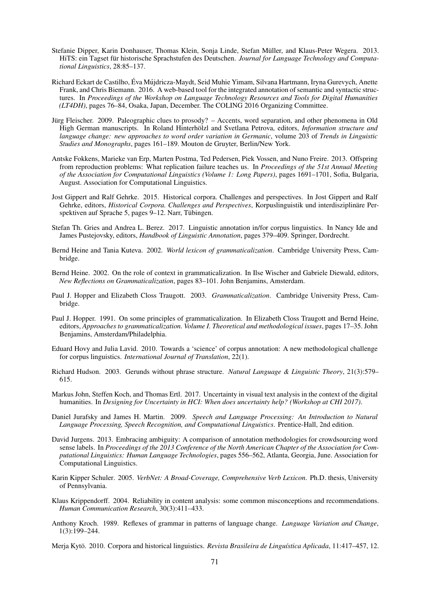- Stefanie Dipper, Karin Donhauser, Thomas Klein, Sonja Linde, Stefan Müller, and Klaus-Peter Wegera. 2013. HiTS: ein Tagset für historische Sprachstufen des Deutschen. Journal for Language Technology and Computa*tional Linguistics*, 28:85–137.
- Richard Eckart de Castilho, Éva Mújdricza-Maydt, Seid Muhie Yimam, Silvana Hartmann, Iryna Gurevych, Anette Frank, and Chris Biemann. 2016. A web-based tool for the integrated annotation of semantic and syntactic structures. In *Proceedings of the Workshop on Language Technology Resources and Tools for Digital Humanities (LT4DH)*, pages 76–84, Osaka, Japan, December. The COLING 2016 Organizing Committee.
- Jürg Fleischer. 2009. Paleographic clues to prosody? Accents, word separation, and other phenomena in Old High German manuscripts. In Roland Hinterhölzl and Svetlana Petrova, editors, *Information structure and language change: new approaches to word order variation in Germanic*, volume 203 of *Trends in Linguistic Studies and Monographs*, pages 161–189. Mouton de Gruyter, Berlin/New York.
- Antske Fokkens, Marieke van Erp, Marten Postma, Ted Pedersen, Piek Vossen, and Nuno Freire. 2013. Offspring from reproduction problems: What replication failure teaches us. In *Proceedings of the 51st Annual Meeting of the Association for Computational Linguistics (Volume 1: Long Papers)*, pages 1691–1701, Sofia, Bulgaria, August. Association for Computational Linguistics.
- Jost Gippert and Ralf Gehrke. 2015. Historical corpora. Challenges and perspectives. In Jost Gippert and Ralf Gehrke, editors, *Historical Corpora. Challenges and Perspectives*, Korpuslinguistik und interdisziplinare Per- ¨ spektiven auf Sprache 5, pages 9–12. Narr, Tübingen.
- Stefan Th. Gries and Andrea L. Berez. 2017. Linguistic annotation in/for corpus linguistics. In Nancy Ide and James Pustejovsky, editors, *Handbook of Linguistic Annotation*, pages 379–409. Springer, Dordrecht.
- Bernd Heine and Tania Kuteva. 2002. *World lexicon of grammaticalization*. Cambridge University Press, Cambridge.
- Bernd Heine. 2002. On the role of context in grammaticalization. In Ilse Wischer and Gabriele Diewald, editors, *New Reflections on Grammaticalization*, pages 83–101. John Benjamins, Amsterdam.
- Paul J. Hopper and Elizabeth Closs Traugott. 2003. *Grammaticalization*. Cambridge University Press, Cambridge.
- Paul J. Hopper. 1991. On some principles of grammaticalization. In Elizabeth Closs Traugott and Bernd Heine, editors, *Approaches to grammaticalization. Volume I. Theoretical and methodological issues*, pages 17–35. John Benjamins, Amsterdam/Philadelphia.
- Eduard Hovy and Julia Lavid. 2010. Towards a 'science' of corpus annotation: A new methodological challenge for corpus linguistics. *International Journal of Translation*, 22(1).
- Richard Hudson. 2003. Gerunds without phrase structure. *Natural Language & Linguistic Theory*, 21(3):579– 615.
- Markus John, Steffen Koch, and Thomas Ertl. 2017. Uncertainty in visual text analysis in the context of the digital humanities. In *Designing for Uncertainty in HCI: When does uncertainty help? (Workshop at CHI 2017)*.
- Daniel Jurafsky and James H. Martin. 2009. *Speech and Language Processing: An Introduction to Natural Language Processing, Speech Recognition, and Computational Linguistics*. Prentice-Hall, 2nd edition.
- David Jurgens. 2013. Embracing ambiguity: A comparison of annotation methodologies for crowdsourcing word sense labels. In *Proceedings of the 2013 Conference of the North American Chapter of the Association for Computational Linguistics: Human Language Technologies*, pages 556–562, Atlanta, Georgia, June. Association for Computational Linguistics.
- Karin Kipper Schuler. 2005. *VerbNet: A Broad-Coverage, Comprehensive Verb Lexicon*. Ph.D. thesis, University of Pennsylvania.
- Klaus Krippendorff. 2004. Reliability in content analysis: some common misconceptions and recommendations. *Human Communication Research*, 30(3):411–433.
- Anthony Kroch. 1989. Reflexes of grammar in patterns of language change. *Language Variation and Change*, 1(3):199–244.
- Merja Kytö. 2010. Corpora and historical linguistics. Revista Brasileira de Linguística Aplicada, 11:417–457, 12.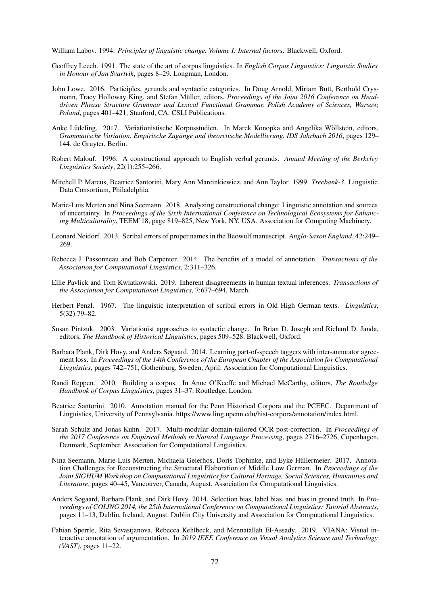William Labov. 1994. *Principles of linguistic change. Volume I: Internal factors*. Blackwell, Oxford.

- Geoffrey Leech. 1991. The state of the art of corpus linguistics. In *English Corpus Linguistics: Linguistic Studies in Honour of Jan Svartvik*, pages 8–29. Longman, London.
- John Lowe. 2016. Participles, gerunds and syntactic categories. In Doug Arnold, Miriam Butt, Berthold Crysmann, Tracy Holloway King, and Stefan Müller, editors, *Proceedings of the Joint 2016 Conference on Headdriven Phrase Structure Grammar and Lexical Functional Grammar, Polish Academy of Sciences, Warsaw, Poland*, pages 401–421, Stanford, CA. CSLI Publications.
- Anke Lüdeling. 2017. Variationistische Korpusstudien. In Marek Konopka and Angelika Wöllstein, editors, *Grammatische Variation. Empirische Zugänge und theoretische Modellierung. IDS Jahrbuch 2016, pages 129–* 144. de Gruyter, Berlin.
- Robert Malouf. 1996. A constructional approach to English verbal gerunds. *Annual Meeting of the Berkeley Linguistics Society*, 22(1):255–266.
- Mitchell P. Marcus, Beatrice Santorini, Mary Ann Marcinkiewicz, and Ann Taylor. 1999. *Treebank-3*. Linguistic Data Consortium, Philadelphia.
- Marie-Luis Merten and Nina Seemann. 2018. Analyzing constructional change: Linguistic annotation and sources of uncertainty. In *Proceedings of the Sixth International Conference on Technological Ecosystems for Enhancing Multiculturality*, TEEM'18, page 819–825, New York, NY, USA. Association for Computing Machinery.
- Leonard Neidorf. 2013. Scribal errors of proper names in the Beowulf manuscript. *Anglo-Saxon England*, 42:249– 269.
- Rebecca J. Passonneau and Bob Carpenter. 2014. The benefits of a model of annotation. *Transactions of the Association for Computational Linguistics*, 2:311–326.
- Ellie Pavlick and Tom Kwiatkowski. 2019. Inherent disagreements in human textual inferences. *Transactions of the Association for Computational Linguistics*, 7:677–694, March.
- Herbert Penzl. 1967. The linguistic interpretation of scribal errors in Old High German texts. *Linguistics*, 5(32):79–82.
- Susan Pintzuk. 2003. Variationist approaches to syntactic change. In Brian D. Joseph and Richard D. Janda, editors, *The Handbook of Historical Linguistics*, pages 509–528. Blackwell, Oxford.
- Barbara Plank, Dirk Hovy, and Anders Søgaard. 2014. Learning part-of-speech taggers with inter-annotator agreement loss. In *Proceedings of the 14th Conference of the European Chapter of the Association for Computational Linguistics*, pages 742–751, Gothenburg, Sweden, April. Association for Computational Linguistics.
- Randi Reppen. 2010. Building a corpus. In Anne O'Keeffe and Michael McCarthy, editors, *The Routledge Handbook of Corpus Linguistics*, pages 31–37. Routledge, London.
- Beatrice Santorini. 2010. Annotation manual for the Penn Historical Corpora and the PCEEC. Department of Linguistics, University of Pennsylvania. https://www.ling.upenn.edu/hist-corpora/annotation/index.html.
- Sarah Schulz and Jonas Kuhn. 2017. Multi-modular domain-tailored OCR post-correction. In *Proceedings of the 2017 Conference on Empirical Methods in Natural Language Processing*, pages 2716–2726, Copenhagen, Denmark, September. Association for Computational Linguistics.
- Nina Seemann, Marie-Luis Merten, Michaela Geierhos, Doris Tophinke, and Eyke Hullermeier. 2017. Annota- ¨ tion Challenges for Reconstructing the Structural Elaboration of Middle Low German. In *Proceedings of the Joint SIGHUM Workshop on Computational Linguistics for Cultural Heritage, Social Sciences, Humanities and Literature*, pages 40–45, Vancouver, Canada, August. Association for Computational Linguistics.
- Anders Søgaard, Barbara Plank, and Dirk Hovy. 2014. Selection bias, label bias, and bias in ground truth. In *Proceedings of COLING 2014, the 25th International Conference on Computational Linguistics: Tutorial Abstracts*, pages 11–13, Dublin, Ireland, August. Dublin City University and Association for Computational Linguistics.
- Fabian Sperrle, Rita Sevastjanova, Rebecca Kehlbeck, and Mennatallah El-Assady. 2019. VIANA: Visual interactive annotation of argumentation. In *2019 IEEE Conference on Visual Analytics Science and Technology (VAST)*, pages 11–22.